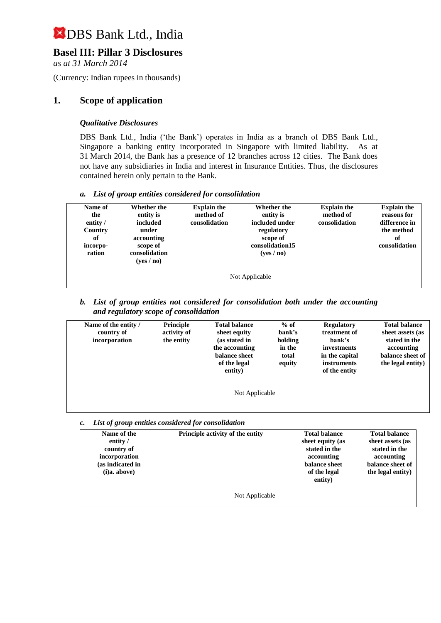## **Basel III: Pillar 3 Disclosures**

*as at 31 March 2014*

(Currency: Indian rupees in thousands)

## **1. Scope of application**

#### *Qualitative Disclosures*

DBS Bank Ltd., India ('the Bank') operates in India as a branch of DBS Bank Ltd., Singapore a banking entity incorporated in Singapore with limited liability. As at 31 March 2014, the Bank has a presence of 12 branches across 12 cities. The Bank does not have any subsidiaries in India and interest in Insurance Entities. Thus, the disclosures contained herein only pertain to the Bank.

#### *a. List of group entities considered for consolidation*

| Name of<br>the<br>entity /<br>Country<br>of<br>incorpo-<br>ration | Whether the<br>entity is<br>included<br>under<br>accounting<br>scope of<br>consolidation<br>( <b>ves</b> / <b>no</b> ) | <b>Explain the</b><br>method of<br>consolidation | Whether the<br>entity is<br>included under<br>regulatory<br>scope of<br>consolidation15<br>(yes/no) | <b>Explain the</b><br>method of<br>consolidation | <b>Explain the</b><br>reasons for<br>difference in<br>the method<br>of<br>consolidation |  |
|-------------------------------------------------------------------|------------------------------------------------------------------------------------------------------------------------|--------------------------------------------------|-----------------------------------------------------------------------------------------------------|--------------------------------------------------|-----------------------------------------------------------------------------------------|--|
| Not Applicable                                                    |                                                                                                                        |                                                  |                                                                                                     |                                                  |                                                                                         |  |

*b. List of group entities not considered for consolidation both under the accounting and regulatory scope of consolidation*

| Name of the entity /<br>country of<br>incorporation | <b>Principle</b><br>activity of<br>the entity | <b>Total balance</b><br>sheet equity<br>(as stated in<br>the accounting<br>balance sheet<br>of the legal<br>entity) | $%$ of<br>bank's<br>holding<br>in the<br>total<br>equity | <b>Regulatory</b><br>treatment of<br>bank's<br>investments<br>in the capital<br><i>instruments</i><br>of the entity | <b>Total balance</b><br>sheet assets (as<br>stated in the<br>accounting<br>balance sheet of<br>the legal entity) |
|-----------------------------------------------------|-----------------------------------------------|---------------------------------------------------------------------------------------------------------------------|----------------------------------------------------------|---------------------------------------------------------------------------------------------------------------------|------------------------------------------------------------------------------------------------------------------|
|                                                     |                                               | Not Applicable                                                                                                      |                                                          |                                                                                                                     |                                                                                                                  |

*c. List of group entities considered for consolidation*

| Name of the<br>entity /<br>country of<br>incorporation<br>(as indicated in<br>(i)a. above) | Principle activity of the entity | <b>Total balance</b><br>sheet equity (as<br>stated in the<br>accounting<br><b>balance</b> sheet<br>of the legal<br>entity) | <b>Total balance</b><br>sheet assets (as<br>stated in the<br>accounting<br>balance sheet of<br>the legal entity) |
|--------------------------------------------------------------------------------------------|----------------------------------|----------------------------------------------------------------------------------------------------------------------------|------------------------------------------------------------------------------------------------------------------|
|                                                                                            | Not Applicable                   |                                                                                                                            |                                                                                                                  |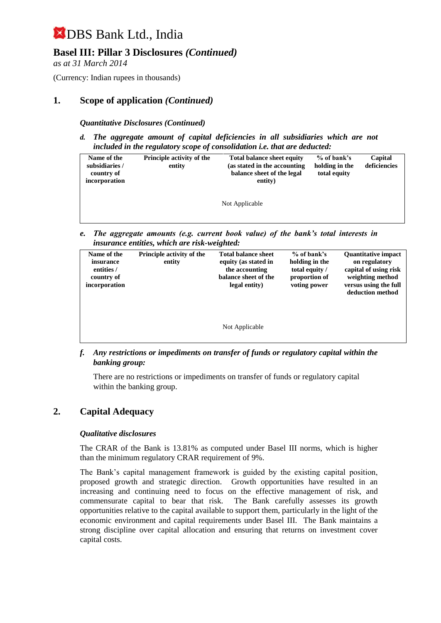## **Basel III: Pillar 3 Disclosures** *(Continued)*

*as at 31 March 2014*

(Currency: Indian rupees in thousands)

### **1. Scope of application** *(Continued)*

#### *Quantitative Disclosures (Continued)*

*d. The aggregate amount of capital deficiencies in all subsidiaries which are not included in the regulatory scope of consolidation i.e. that are deducted:*

| Name of the<br>subsidiaries /<br>country of<br>incorporation | <b>Principle activity of the</b><br>entity | <b>Total balance sheet equity</b><br>(as stated in the accounting)<br>balance sheet of the legal<br>entity) | % of bank's<br>holding in the<br>total equity | Capital<br>deficiencies |
|--------------------------------------------------------------|--------------------------------------------|-------------------------------------------------------------------------------------------------------------|-----------------------------------------------|-------------------------|
|                                                              |                                            | Not Applicable                                                                                              |                                               |                         |

*e. The aggregate amounts (e.g. current book value) of the bank's total interests in insurance entities, which are risk-weighted:*

| Name of the<br>insurance<br>entities /<br>country of<br>incorporation | <b>Principle activity of the</b><br>entity | <b>Total balance sheet</b><br>equity (as stated in<br>the accounting<br>balance sheet of the<br>legal entity) | $%$ of bank's<br>holding in the<br>total equity /<br>proportion of<br>voting power | <b>Quantitative impact</b><br>on regulatory<br>capital of using risk<br>weighting method<br>versus using the full<br>deduction method |
|-----------------------------------------------------------------------|--------------------------------------------|---------------------------------------------------------------------------------------------------------------|------------------------------------------------------------------------------------|---------------------------------------------------------------------------------------------------------------------------------------|
|                                                                       |                                            | Not Applicable                                                                                                |                                                                                    |                                                                                                                                       |

*f. Any restrictions or impediments on transfer of funds or regulatory capital within the banking group:*

There are no restrictions or impediments on transfer of funds or regulatory capital within the banking group.

#### **2. Capital Adequacy**

#### *Qualitative disclosures*

The CRAR of the Bank is 13.81% as computed under Basel III norms, which is higher than the minimum regulatory CRAR requirement of 9%.

The Bank's capital management framework is guided by the existing capital position, proposed growth and strategic direction. Growth opportunities have resulted in an increasing and continuing need to focus on the effective management of risk, and commensurate capital to bear that risk. The Bank carefully assesses its growth opportunities relative to the capital available to support them, particularly in the light of the economic environment and capital requirements under Basel III. The Bank maintains a strong discipline over capital allocation and ensuring that returns on investment cover capital costs.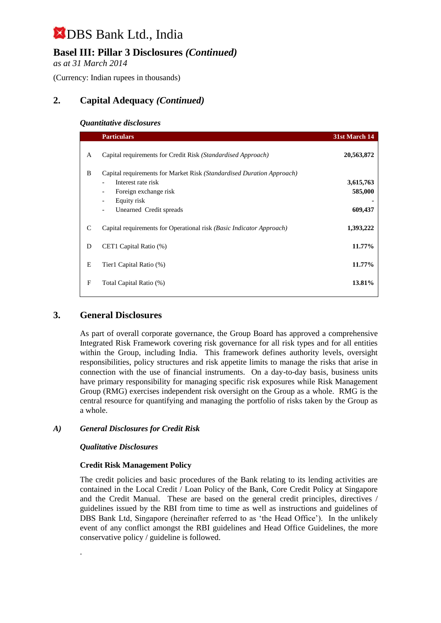## **Basel III: Pillar 3 Disclosures** *(Continued)*

*as at 31 March 2014*

(Currency: Indian rupees in thousands)

## **2. Capital Adequacy** *(Continued)*

#### *Quantitative disclosures*

|   | <b>Particulars</b>                                                                                                                                                                                                     | 31st March 14                   |
|---|------------------------------------------------------------------------------------------------------------------------------------------------------------------------------------------------------------------------|---------------------------------|
| A | Capital requirements for Credit Risk (Standardised Approach)                                                                                                                                                           | 20,563,872                      |
| B | Capital requirements for Market Risk (Standardised Duration Approach)<br>Interest rate risk<br>Foreign exchange risk<br>$\overline{\phantom{a}}$<br>Equity risk<br>Unearned Credit spreads<br>$\overline{\phantom{a}}$ | 3,615,763<br>585,000<br>609,437 |
| C | Capital requirements for Operational risk (Basic Indicator Approach)                                                                                                                                                   | 1,393,222                       |
| D | CET1 Capital Ratio (%)                                                                                                                                                                                                 | 11.77%                          |
| E | Tier1 Capital Ratio (%)                                                                                                                                                                                                | 11.77%                          |
| F | Total Capital Ratio (%)                                                                                                                                                                                                | 13.81%                          |

## **3. General Disclosures**

As part of overall corporate governance, the Group Board has approved a comprehensive Integrated Risk Framework covering risk governance for all risk types and for all entities within the Group, including India. This framework defines authority levels, oversight responsibilities, policy structures and risk appetite limits to manage the risks that arise in connection with the use of financial instruments. On a day-to-day basis, business units have primary responsibility for managing specific risk exposures while Risk Management Group (RMG) exercises independent risk oversight on the Group as a whole. RMG is the central resource for quantifying and managing the portfolio of risks taken by the Group as a whole.

#### *A) General Disclosures for Credit Risk*

#### *Qualitative Disclosures*

.

#### **Credit Risk Management Policy**

The credit policies and basic procedures of the Bank relating to its lending activities are contained in the Local Credit / Loan Policy of the Bank, Core Credit Policy at Singapore and the Credit Manual. These are based on the general credit principles, directives / guidelines issued by the RBI from time to time as well as instructions and guidelines of DBS Bank Ltd, Singapore (hereinafter referred to as 'the Head Office'). In the unlikely event of any conflict amongst the RBI guidelines and Head Office Guidelines, the more conservative policy / guideline is followed.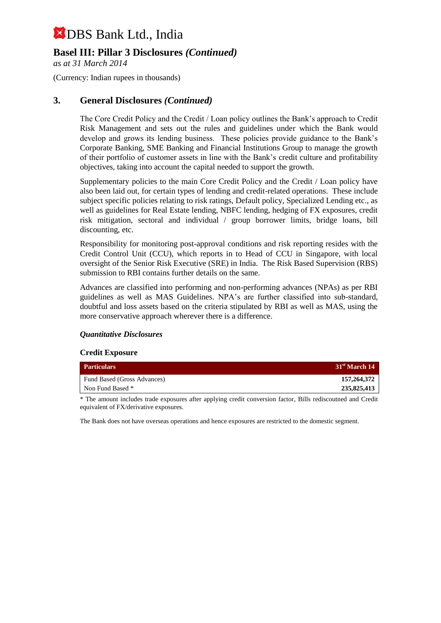## **Basel III: Pillar 3 Disclosures** *(Continued)*

*as at 31 March 2014*

(Currency: Indian rupees in thousands)

### **3. General Disclosures** *(Continued)*

The Core Credit Policy and the Credit / Loan policy outlines the Bank's approach to Credit Risk Management and sets out the rules and guidelines under which the Bank would develop and grows its lending business. These policies provide guidance to the Bank's Corporate Banking, SME Banking and Financial Institutions Group to manage the growth of their portfolio of customer assets in line with the Bank's credit culture and profitability objectives, taking into account the capital needed to support the growth.

Supplementary policies to the main Core Credit Policy and the Credit / Loan policy have also been laid out, for certain types of lending and credit-related operations. These include subject specific policies relating to risk ratings, Default policy, Specialized Lending etc., as well as guidelines for Real Estate lending, NBFC lending, hedging of FX exposures, credit risk mitigation, sectoral and individual / group borrower limits, bridge loans, bill discounting, etc.

Responsibility for monitoring post-approval conditions and risk reporting resides with the Credit Control Unit (CCU), which reports in to Head of CCU in Singapore, with local oversight of the Senior Risk Executive (SRE) in India. The Risk Based Supervision (RBS) submission to RBI contains further details on the same.

Advances are classified into performing and non-performing advances (NPAs) as per RBI guidelines as well as MAS Guidelines. NPA's are further classified into sub-standard, doubtful and loss assets based on the criteria stipulated by RBI as well as MAS, using the more conservative approach wherever there is a difference.

#### *Quantitative Disclosures*

#### **Credit Exposure**

| <b>Particulars</b>          | 31 <sup>st</sup> March 14 |
|-----------------------------|---------------------------|
| Fund Based (Gross Advances) | 157,264,372               |
| Non Fund Based *            | 235,825,413               |

\* The amount includes trade exposures after applying credit conversion factor, Bills rediscoutned and Credit equivalent of FX/derivative exposures.

The Bank does not have overseas operations and hence exposures are restricted to the domestic segment.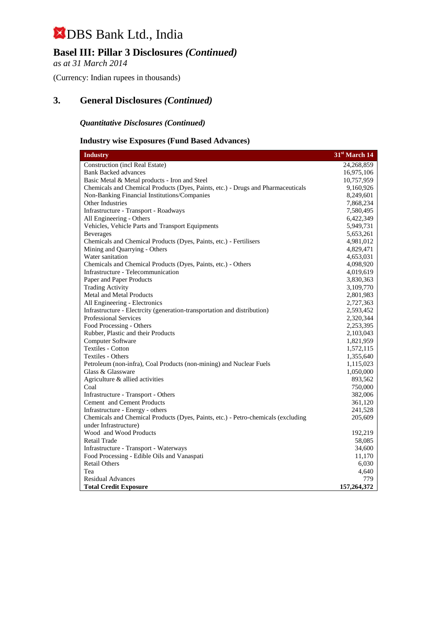## **Basel III: Pillar 3 Disclosures** *(Continued)*

*as at 31 March 2014*

(Currency: Indian rupees in thousands)

## **3. General Disclosures** *(Continued)*

### *Quantitative Disclosures (Continued)*

#### **Industry wise Exposures (Fund Based Advances)**

| <b>Industry</b>                                                                   | 31 <sup>st</sup> March 14 |
|-----------------------------------------------------------------------------------|---------------------------|
| <b>Construction</b> (incl Real Estate)                                            | 24,268,859                |
| <b>Bank Backed advances</b>                                                       | 16,975,106                |
| Basic Metal & Metal products - Iron and Steel                                     | 10,757,959                |
| Chemicals and Chemical Products (Dyes, Paints, etc.) - Drugs and Pharmaceuticals  | 9,160,926                 |
| Non-Banking Financial Institutions/Companies                                      | 8,249,601                 |
| Other Industries                                                                  | 7,868,234                 |
| Infrastructure - Transport - Roadways                                             | 7,580,495                 |
| All Engineering - Others                                                          | 6,422,349                 |
| Vehicles, Vehicle Parts and Transport Equipments                                  | 5,949,731                 |
| <b>Beverages</b>                                                                  | 5,653,261                 |
| Chemicals and Chemical Products (Dyes, Paints, etc.) - Fertilisers                | 4,981,012                 |
| Mining and Quarrying - Others                                                     | 4,829,471                 |
| Water sanitation                                                                  | 4,653,031                 |
| Chemicals and Chemical Products (Dyes, Paints, etc.) - Others                     | 4,098,920                 |
| Infrastructure - Telecommunication                                                | 4,019,619                 |
| Paper and Paper Products                                                          | 3,830,363                 |
| <b>Trading Activity</b>                                                           | 3,109,770                 |
| <b>Metal and Metal Products</b>                                                   | 2,801,983                 |
| All Engineering - Electronics                                                     | 2,727,363                 |
| Infrastructure - Electrcity (generation-transportation and distribution)          | 2,593,452                 |
| <b>Professional Services</b>                                                      | 2,320,344                 |
| Food Processing - Others                                                          | 2,253,395                 |
| Rubber, Plastic and their Products                                                | 2,103,043                 |
| Computer Software                                                                 | 1,821,959                 |
| <b>Textiles - Cotton</b>                                                          | 1,572,115                 |
| Textiles - Others                                                                 | 1,355,640                 |
| Petroleum (non-infra), Coal Products (non-mining) and Nuclear Fuels               | 1,115,023                 |
| Glass & Glassware                                                                 | 1,050,000                 |
| Agriculture & allied activities                                                   | 893,562                   |
| Coal                                                                              | 750,000                   |
| Infrastructure - Transport - Others                                               | 382,006                   |
| Cement and Cement Products                                                        | 361,120                   |
| Infrastructure - Energy - others                                                  | 241,528                   |
| Chemicals and Chemical Products (Dyes, Paints, etc.) - Petro-chemicals (excluding | 205,609                   |
| under Infrastructure)                                                             |                           |
| Wood and Wood Products                                                            | 192,219                   |
| Retail Trade                                                                      | 58,085                    |
| Infrastructure - Transport - Waterways                                            | 34,600                    |
| Food Processing - Edible Oils and Vanaspati                                       | 11,170                    |
| <b>Retail Others</b>                                                              | 6,030                     |
| Tea                                                                               | 4,640                     |
| <b>Residual Advances</b>                                                          | 779                       |
| <b>Total Credit Exposure</b>                                                      | 157,264,372               |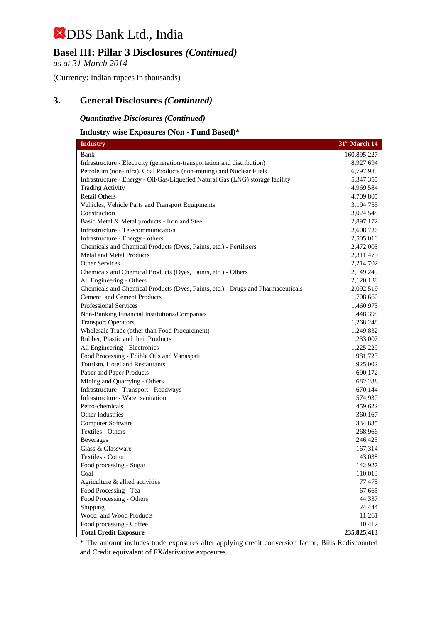## **Basel III: Pillar 3 Disclosures** *(Continued)*

*as at 31 March 2014*

(Currency: Indian rupees in thousands)

## **3. General Disclosures** *(Continued)*

#### *Quantitative Disclosures (Continued)*

#### **Industry wise Exposures (Non - Fund Based)\***

| <b>Industry</b>                                                                  | 31 <sup>st</sup> March 14 |
|----------------------------------------------------------------------------------|---------------------------|
| Bank                                                                             | 160,895,227               |
| Infrastructure - Electrcity (generation-transportation and distribution)         | 8,927,694                 |
| Petroleum (non-infra), Coal Products (non-mining) and Nuclear Fuels              | 6,797,935                 |
| Infrastructure - Energy - Oil/Gas/Liquefied Natural Gas (LNG) storage facility   | 5,347,355                 |
| <b>Trading Activity</b>                                                          | 4,969,584                 |
| <b>Retail Others</b>                                                             | 4,709,805                 |
| Vehicles, Vehicle Parts and Transport Equipments                                 | 3,194,755                 |
| Construction                                                                     | 3,024,548                 |
| Basic Metal & Metal products - Iron and Steel                                    | 2,897,172                 |
| Infrastructure - Telecommunication                                               | 2,608,726                 |
| Infrastructure - Energy - others                                                 | 2,505,010                 |
| Chemicals and Chemical Products (Dyes, Paints, etc.) - Fertilisers               | 2,472,003                 |
| <b>Metal and Metal Products</b>                                                  | 2,311,479                 |
| Other Services                                                                   | 2,214,702                 |
| Chemicals and Chemical Products (Dyes, Paints, etc.) - Others                    | 2,149,249                 |
| All Engineering - Others                                                         | 2,120,138                 |
| Chemicals and Chemical Products (Dyes, Paints, etc.) - Drugs and Pharmaceuticals | 2,092,519                 |
| Cement and Cement Products                                                       | 1,708,660                 |
| <b>Professional Services</b>                                                     | 1,460,973                 |
| Non-Banking Financial Institutions/Companies                                     | 1,448,398                 |
| <b>Transport Operators</b>                                                       | 1,268,248                 |
| Wholesale Trade (other than Food Procurement)                                    | 1,249,832                 |
| Rubber, Plastic and their Products                                               | 1,233,007                 |
| All Engineering - Electronics                                                    | 1,225,229                 |
| Food Processing - Edible Oils and Vanaspati                                      | 981,723                   |
| Tourism, Hotel and Restaurants                                                   | 925,002                   |
| Paper and Paper Products                                                         | 690,172                   |
| Mining and Quarrying - Others                                                    | 682,288                   |
| Infrastructure - Transport - Roadways                                            | 670,144                   |
| Infrastructure - Water sanitation<br>Petro-chemicals                             | 574,930                   |
| Other Industries                                                                 | 459,622                   |
| Computer Software                                                                | 360,167                   |
| Textiles - Others                                                                | 334,835<br>268,966        |
| <b>Beverages</b>                                                                 | 246,425                   |
| Glass & Glassware                                                                | 167,314                   |
| Textiles - Cotton                                                                | 143,038                   |
| Food processing - Sugar                                                          | 142,927                   |
| Coal                                                                             | 110,013                   |
| Agriculture & allied activities                                                  | 77,475                    |
| Food Processing - Tea                                                            | 67,665                    |
| Food Processing - Others                                                         | 44,337                    |
| Shipping                                                                         | 24,444                    |
| Wood and Wood Products                                                           | 11,261                    |
| Food processing - Coffee                                                         | 10,417                    |
| <b>Total Credit Exposure</b>                                                     | 235,825,413               |

\* The amount includes trade exposures after applying credit conversion factor, Bills Rediscounted and Credit equivalent of FX/derivative exposures.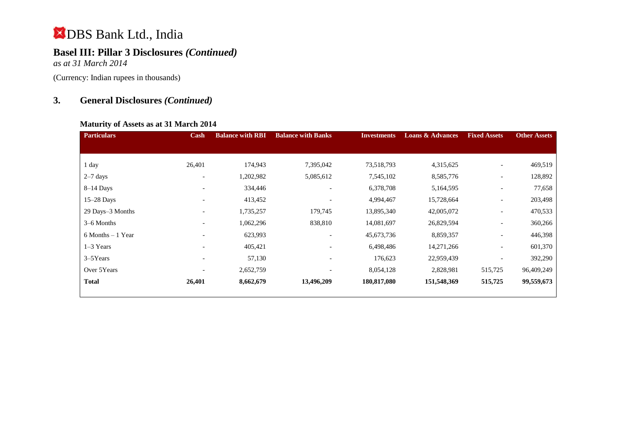## **Basel III: Pillar 3 Disclosures** *(Continued)*

*as at 31 March 2014*

(Currency: Indian rupees in thousands)

## **3. General Disclosures** *(Continued)*

#### **Maturity of Assets as at 31 March 2014**

| <b>Particulars</b>   | Cash                     | <b>Balance with RBI</b> | <b>Balance with Banks</b> | <b>Investments</b> | <b>Loans &amp; Advances</b> | <b>Fixed Assets</b>      | <b>Other Assets</b> |
|----------------------|--------------------------|-------------------------|---------------------------|--------------------|-----------------------------|--------------------------|---------------------|
|                      |                          |                         |                           |                    |                             |                          |                     |
|                      |                          |                         |                           |                    |                             |                          |                     |
| 1 day                | 26,401                   | 174,943                 | 7,395,042                 | 73,518,793         | 4,315,625                   | $\overline{\phantom{a}}$ | 469,519             |
| $2-7$ days           | $\overline{\phantom{a}}$ | 1,202,982               | 5,085,612                 | 7,545,102          | 8,585,776                   | $\overline{\phantom{a}}$ | 128,892             |
| $8-14$ Days          | $\overline{\phantom{a}}$ | 334,446                 |                           | 6,378,708          | 5,164,595                   | $\overline{\phantom{a}}$ | 77,658              |
| $15-28$ Days         |                          | 413,452                 |                           | 4,994,467          | 15,728,664                  | $\overline{\phantom{a}}$ | 203,498             |
| 29 Days-3 Months     |                          | 1,735,257               | 179,745                   | 13,895,340         | 42,005,072                  | $\overline{\phantom{a}}$ | 470,533             |
| 3–6 Months           | $\overline{\phantom{a}}$ | 1,062,296               | 838,810                   | 14,081,697         | 26,829,594                  | $\overline{\phantom{a}}$ | 360,266             |
| $6$ Months $-1$ Year |                          | 623,993                 |                           | 45,673,736         | 8,859,357                   | $\overline{\phantom{a}}$ | 446,398             |
| $1-3$ Years          | $\overline{\phantom{a}}$ | 405,421                 |                           | 6,498,486          | 14,271,266                  | $\overline{\phantom{a}}$ | 601,370             |
| 3–5Years             | $\overline{\phantom{0}}$ | 57,130                  |                           | 176,623            | 22,959,439                  |                          | 392,290             |
| Over 5Years          |                          | 2,652,759               |                           | 8,054,128          | 2,828,981                   | 515,725                  | 96,409,249          |
| <b>Total</b>         | 26,401                   | 8,662,679               | 13,496,209                | 180,817,080        | 151,548,369                 | 515,725                  | 99,559,673          |
|                      |                          |                         |                           |                    |                             |                          |                     |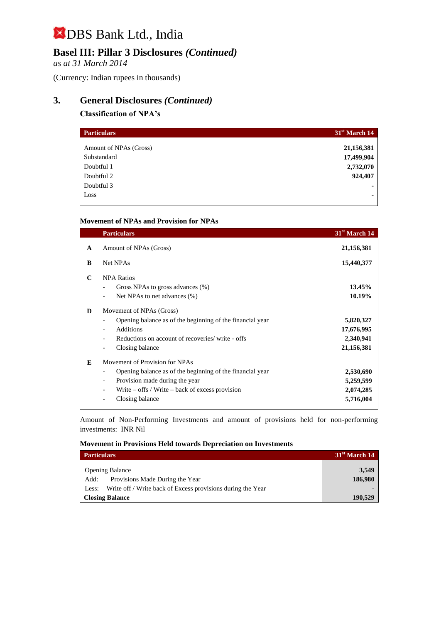## **Basel III: Pillar 3 Disclosures** *(Continued)*

*as at 31 March 2014*

(Currency: Indian rupees in thousands)

## **3. General Disclosures** *(Continued)*

#### **Classification of NPA's**

| <b>Particulars</b>     | 31 <sup>st</sup> March 14 |
|------------------------|---------------------------|
| Amount of NPAs (Gross) | 21,156,381                |
| Substandard            | 17,499,904                |
| Doubtful 1             | 2,732,070                 |
| Doubtful 2             | 924,407                   |
| Doubtful 3             | ۰                         |
| Loss                   | ۰                         |

#### **Movement of NPAs and Provision for NPAs**

|              | <b>Particulars</b>                                        | 31 <sup>st</sup> March 14 |
|--------------|-----------------------------------------------------------|---------------------------|
| $\mathbf{A}$ | Amount of NPAs (Gross)                                    | 21,156,381                |
| B            | Net NPAs                                                  | 15,440,377                |
| $\mathbf C$  | <b>NPA Ratios</b>                                         |                           |
|              | Gross NPAs to gross advances (%)                          | 13.45%                    |
|              | Net NPAs to net advances (%)                              | 10.19%                    |
| D            | Movement of NPAs (Gross)                                  |                           |
|              | Opening balance as of the beginning of the financial year | 5,820,327                 |
|              | <b>Additions</b><br>$\overline{\phantom{a}}$              | 17,676,995                |
|              | Reductions on account of recoveries/write - offs          | 2,340,941                 |
|              | Closing balance                                           | 21,156,381                |
| E            | Movement of Provision for NPAs                            |                           |
|              | Opening balance as of the beginning of the financial year | 2,530,690                 |
|              | Provision made during the year<br>-                       | 5,259,599                 |
|              | Write $-$ offs / Write $-$ back of excess provision       | 2,074,285                 |
|              | Closing balance                                           | 5,716,004                 |

Amount of Non-Performing Investments and amount of provisions held for non-performing investments:INR Nil

#### **Movement in Provisions Held towards Depreciation on Investments**

| <b>Particulars</b>                                                   | 31 <sup>st</sup> March 14 |
|----------------------------------------------------------------------|---------------------------|
|                                                                      |                           |
| <b>Opening Balance</b>                                               | 3.549                     |
| Provisions Made During the Year<br>Add:                              | 186,980                   |
| Write off / Write back of Excess provisions during the Year<br>Less: |                           |
| <b>Closing Balance</b>                                               | 190.529                   |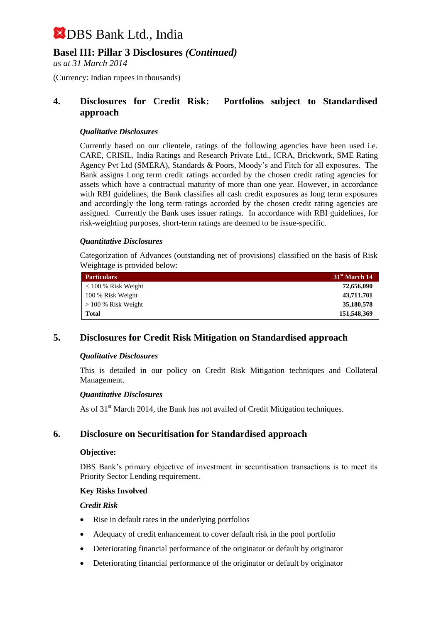## **Basel III: Pillar 3 Disclosures** *(Continued)*

*as at 31 March 2014*

(Currency: Indian rupees in thousands)

#### **4. Disclosures for Credit Risk: Portfolios subject to Standardised approach**

#### *Qualitative Disclosures*

Currently based on our clientele, ratings of the following agencies have been used i.e. CARE, CRISIL, India Ratings and Research Private Ltd., ICRA, Brickwork, SME Rating Agency Pvt Ltd (SMERA), Standards & Poors, Moody's and Fitch for all exposures. The Bank assigns Long term credit ratings accorded by the chosen credit rating agencies for assets which have a contractual maturity of more than one year. However, in accordance with RBI guidelines, the Bank classifies all cash credit exposures as long term exposures and accordingly the long term ratings accorded by the chosen credit rating agencies are assigned. Currently the Bank uses issuer ratings. In accordance with RBI guidelines, for risk-weighting purposes, short-term ratings are deemed to be issue-specific.

#### *Quantitative Disclosures*

Categorization of Advances (outstanding net of provisions) classified on the basis of Risk Weightage is provided below:

| <b>Particulars</b>    | 31 <sup>st</sup> March 14 |
|-----------------------|---------------------------|
| $<$ 100 % Risk Weight | 72,656,090                |
| 100 % Risk Weight     | 43,711,701                |
| $> 100\%$ Risk Weight | 35,180,578                |
| Total                 | 151,548,369               |

## **5. Disclosures for Credit Risk Mitigation on Standardised approach**

#### *Qualitative Disclosures*

This is detailed in our policy on Credit Risk Mitigation techniques and Collateral Management.

#### *Quantitative Disclosures*

As of  $31<sup>st</sup>$  March 2014, the Bank has not availed of Credit Mitigation techniques.

#### **6. Disclosure on Securitisation for Standardised approach**

#### **Objective:**

DBS Bank's primary objective of investment in securitisation transactions is to meet its Priority Sector Lending requirement.

#### **Key Risks Involved**

#### *Credit Risk*

- Rise in default rates in the underlying portfolios
- Adequacy of credit enhancement to cover default risk in the pool portfolio
- Deteriorating financial performance of the originator or default by originator
- Deteriorating financial performance of the originator or default by originator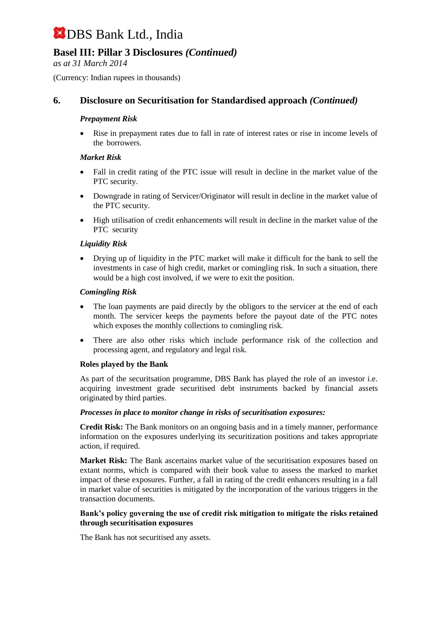## **Basel III: Pillar 3 Disclosures** *(Continued)*

*as at 31 March 2014*

(Currency: Indian rupees in thousands)

## **6. Disclosure on Securitisation for Standardised approach** *(Continued)*

#### *Prepayment Risk*

 Rise in prepayment rates due to fall in rate of interest rates or rise in income levels of the borrowers.

#### *Market Risk*

- Fall in credit rating of the PTC issue will result in decline in the market value of the PTC security.
- Downgrade in rating of Servicer/Originator will result in decline in the market value of the PTC security.
- High utilisation of credit enhancements will result in decline in the market value of the PTC security

#### *Liquidity Risk*

 Drying up of liquidity in the PTC market will make it difficult for the bank to sell the investments in case of high credit, market or comingling risk. In such a situation, there would be a high cost involved, if we were to exit the position.

#### *Comingling Risk*

- The loan payments are paid directly by the obligors to the servicer at the end of each month. The servicer keeps the payments before the payout date of the PTC notes which exposes the monthly collections to comingling risk.
- There are also other risks which include performance risk of the collection and processing agent, and regulatory and legal risk.

#### **Roles played by the Bank**

As part of the securitsation programme, DBS Bank has played the role of an investor i.e. acquiring investment grade securitised debt instruments backed by financial assets originated by third parties.

#### *Processes in place to monitor change in risks of securitisation exposures:*

**Credit Risk:** The Bank monitors on an ongoing basis and in a timely manner, performance information on the exposures underlying its securitization positions and takes appropriate action, if required.

**Market Risk:** The Bank ascertains market value of the securitisation exposures based on extant norms, which is compared with their book value to assess the marked to market impact of these exposures. Further, a fall in rating of the credit enhancers resulting in a fall in market value of securities is mitigated by the incorporation of the various triggers in the transaction documents.

#### **Bank's policy governing the use of credit risk mitigation to mitigate the risks retained through securitisation exposures**

The Bank has not securitised any assets.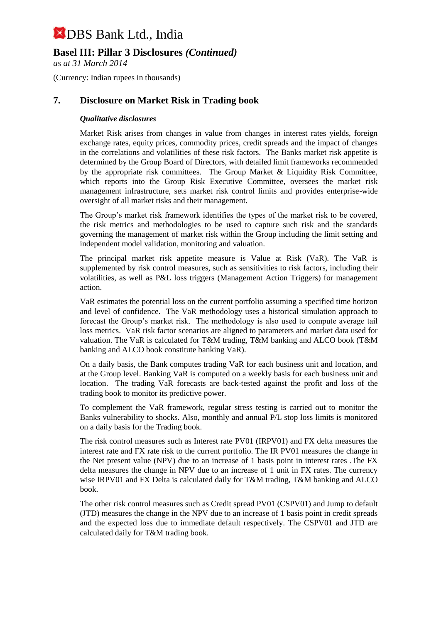## **Basel III: Pillar 3 Disclosures** *(Continued)*

*as at 31 March 2014*

(Currency: Indian rupees in thousands)

### **7. Disclosure on Market Risk in Trading book**

#### *Qualitative disclosures*

Market Risk arises from changes in value from changes in interest rates yields, foreign exchange rates, equity prices, commodity prices, credit spreads and the impact of changes in the correlations and volatilities of these risk factors. The Banks market risk appetite is determined by the Group Board of Directors, with detailed limit frameworks recommended by the appropriate risk committees. The Group Market & Liquidity Risk Committee, which reports into the Group Risk Executive Committee, oversees the market risk management infrastructure, sets market risk control limits and provides enterprise-wide oversight of all market risks and their management.

The Group's market risk framework identifies the types of the market risk to be covered, the risk metrics and methodologies to be used to capture such risk and the standards governing the management of market risk within the Group including the limit setting and independent model validation, monitoring and valuation.

The principal market risk appetite measure is Value at Risk (VaR). The VaR is supplemented by risk control measures, such as sensitivities to risk factors, including their volatilities, as well as P&L loss triggers (Management Action Triggers) for management action.

VaR estimates the potential loss on the current portfolio assuming a specified time horizon and level of confidence. The VaR methodology uses a historical simulation approach to forecast the Group's market risk. The methodology is also used to compute average tail loss metrics. VaR risk factor scenarios are aligned to parameters and market data used for valuation. The VaR is calculated for T&M trading, T&M banking and ALCO book (T&M banking and ALCO book constitute banking VaR).

On a daily basis, the Bank computes trading VaR for each business unit and location, and at the Group level. Banking VaR is computed on a weekly basis for each business unit and location. The trading VaR forecasts are back-tested against the profit and loss of the trading book to monitor its predictive power.

To complement the VaR framework, regular stress testing is carried out to monitor the Banks vulnerability to shocks. Also, monthly and annual P/L stop loss limits is monitored on a daily basis for the Trading book.

The risk control measures such as Interest rate PV01 (IRPV01) and FX delta measures the interest rate and FX rate risk to the current portfolio. The IR PV01 measures the change in the Net present value (NPV) due to an increase of 1 basis point in interest rates .The FX delta measures the change in NPV due to an increase of 1 unit in FX rates. The currency wise IRPV01 and FX Delta is calculated daily for T&M trading, T&M banking and ALCO book.

The other risk control measures such as Credit spread PV01 (CSPV01) and Jump to default (JTD) measures the change in the NPV due to an increase of 1 basis point in credit spreads and the expected loss due to immediate default respectively. The CSPV01 and JTD are calculated daily for T&M trading book.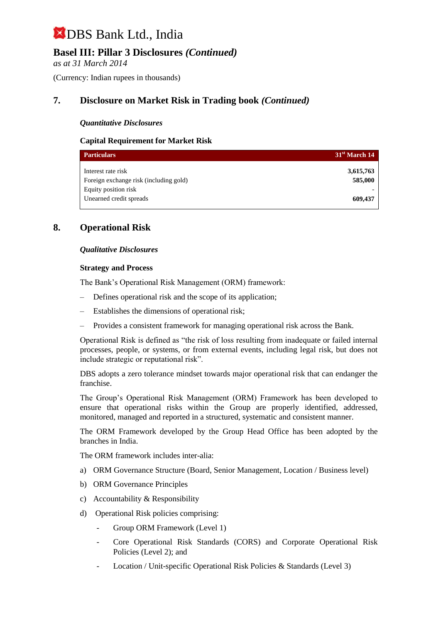## **Basel III: Pillar 3 Disclosures** *(Continued)*

*as at 31 March 2014*

(Currency: Indian rupees in thousands)

## **7. Disclosure on Market Risk in Trading book** *(Continued)*

#### *Quantitative Disclosures*

#### **Capital Requirement for Market Risk**

| <b>Particulars</b>                                                                   | 31 <sup>st</sup> March 14 |
|--------------------------------------------------------------------------------------|---------------------------|
| Interest rate risk<br>Foreign exchange risk (including gold)<br>Equity position risk | 3,615,763<br>585,000      |
| Unearned credit spreads                                                              | 609,437                   |

### **8. Operational Risk**

#### *Qualitative Disclosures*

#### **Strategy and Process**

The Bank's Operational Risk Management (ORM) framework:

- Defines operational risk and the scope of its application;
- Establishes the dimensions of operational risk;
- Provides a consistent framework for managing operational risk across the Bank.

Operational Risk is defined as "the risk of loss resulting from inadequate or failed internal processes, people, or systems, or from external events, including legal risk, but does not include strategic or reputational risk".

DBS adopts a zero tolerance mindset towards major operational risk that can endanger the franchise.

The Group's Operational Risk Management (ORM) Framework has been developed to ensure that operational risks within the Group are properly identified, addressed, monitored, managed and reported in a structured, systematic and consistent manner.

The ORM Framework developed by the Group Head Office has been adopted by the branches in India.

The ORM framework includes inter-alia:

- a) ORM Governance Structure (Board, Senior Management, Location / Business level)
- b) ORM Governance Principles
- c) Accountability & Responsibility
- d) Operational Risk policies comprising:
	- Group ORM Framework (Level 1)
	- Core Operational Risk Standards (CORS) and Corporate Operational Risk Policies (Level 2); and
	- Location / Unit-specific Operational Risk Policies & Standards (Level 3)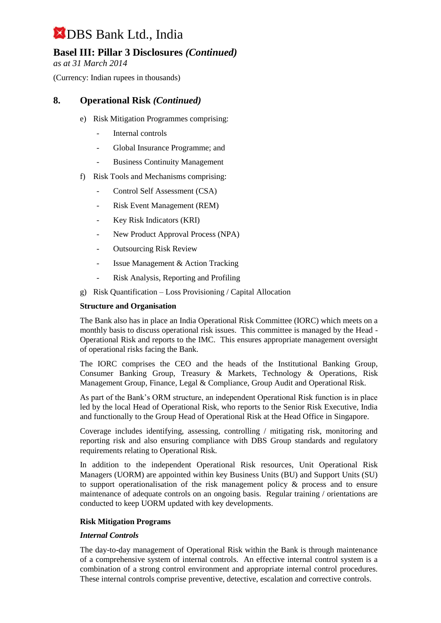## **Basel III: Pillar 3 Disclosures** *(Continued)*

*as at 31 March 2014*

(Currency: Indian rupees in thousands)

### **8. Operational Risk** *(Continued)*

- e) Risk Mitigation Programmes comprising:
	- Internal controls
	- Global Insurance Programme; and
	- Business Continuity Management
- f) Risk Tools and Mechanisms comprising:
	- Control Self Assessment (CSA)
	- Risk Event Management (REM)
	- Key Risk Indicators (KRI)
	- New Product Approval Process (NPA)
	- Outsourcing Risk Review
	- Issue Management & Action Tracking
	- Risk Analysis, Reporting and Profiling
- g) Risk Quantification Loss Provisioning / Capital Allocation

#### **Structure and Organisation**

The Bank also has in place an India Operational Risk Committee (IORC) which meets on a monthly basis to discuss operational risk issues. This committee is managed by the Head - Operational Risk and reports to the IMC. This ensures appropriate management oversight of operational risks facing the Bank.

The IORC comprises the CEO and the heads of the Institutional Banking Group, Consumer Banking Group, Treasury & Markets, Technology & Operations, Risk Management Group, Finance, Legal & Compliance, Group Audit and Operational Risk.

As part of the Bank's ORM structure, an independent Operational Risk function is in place led by the local Head of Operational Risk, who reports to the Senior Risk Executive, India and functionally to the Group Head of Operational Risk at the Head Office in Singapore.

Coverage includes identifying, assessing, controlling / mitigating risk, monitoring and reporting risk and also ensuring compliance with DBS Group standards and regulatory requirements relating to Operational Risk.

In addition to the independent Operational Risk resources, Unit Operational Risk Managers (UORM) are appointed within key Business Units (BU) and Support Units (SU) to support operationalisation of the risk management policy & process and to ensure maintenance of adequate controls on an ongoing basis. Regular training / orientations are conducted to keep UORM updated with key developments.

#### **Risk Mitigation Programs**

#### *Internal Controls*

The day-to-day management of Operational Risk within the Bank is through maintenance of a comprehensive system of internal controls. An effective internal control system is a combination of a strong control environment and appropriate internal control procedures. These internal controls comprise preventive, detective, escalation and corrective controls.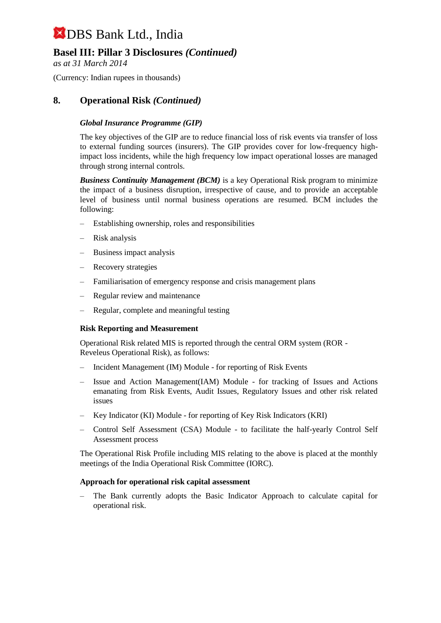## **Basel III: Pillar 3 Disclosures** *(Continued)*

*as at 31 March 2014*

(Currency: Indian rupees in thousands)

### **8. Operational Risk** *(Continued)*

#### *Global Insurance Programme (GIP)*

The key objectives of the GIP are to reduce financial loss of risk events via transfer of loss to external funding sources (insurers). The GIP provides cover for low-frequency highimpact loss incidents, while the high frequency low impact operational losses are managed through strong internal controls.

**Business Continuity Management (BCM)** is a key Operational Risk program to minimize the impact of a business disruption, irrespective of cause, and to provide an acceptable level of business until normal business operations are resumed. BCM includes the following:

- Establishing ownership, roles and responsibilities
- Risk analysis
- Business impact analysis
- Recovery strategies
- Familiarisation of emergency response and crisis management plans
- Regular review and maintenance
- Regular, complete and meaningful testing

#### **Risk Reporting and Measurement**

Operational Risk related MIS is reported through the central ORM system (ROR - Reveleus Operational Risk), as follows:

- Incident Management (IM) Module for reporting of Risk Events
- Issue and Action Management(IAM) Module for tracking of Issues and Actions emanating from Risk Events, Audit Issues, Regulatory Issues and other risk related issues
- Key Indicator (KI) Module for reporting of Key Risk Indicators (KRI)
- Control Self Assessment (CSA) Module to facilitate the half-yearly Control Self Assessment process

The Operational Risk Profile including MIS relating to the above is placed at the monthly meetings of the India Operational Risk Committee (IORC).

#### **Approach for operational risk capital assessment**

– The Bank currently adopts the Basic Indicator Approach to calculate capital for operational risk.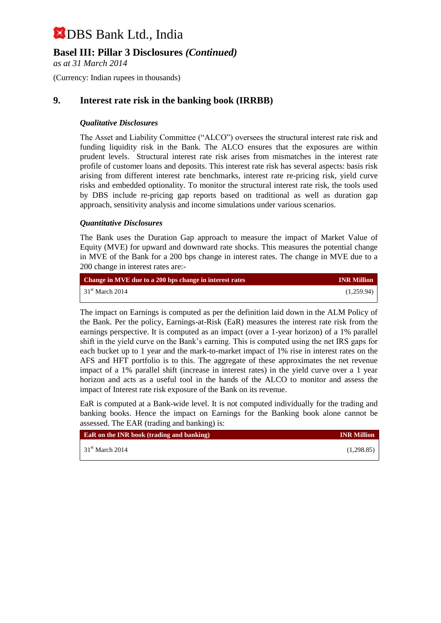## **Basel III: Pillar 3 Disclosures** *(Continued)*

*as at 31 March 2014*

(Currency: Indian rupees in thousands)

## **9. Interest rate risk in the banking book (IRRBB)**

#### *Qualitative Disclosures*

The Asset and Liability Committee ("ALCO") oversees the structural interest rate risk and funding liquidity risk in the Bank. The ALCO ensures that the exposures are within prudent levels. Structural interest rate risk arises from mismatches in the interest rate profile of customer loans and deposits. This interest rate risk has several aspects: basis risk arising from different interest rate benchmarks, interest rate re-pricing risk, yield curve risks and embedded optionality. To monitor the structural interest rate risk, the tools used by DBS include re-pricing gap reports based on traditional as well as duration gap approach, sensitivity analysis and income simulations under various scenarios.

#### *Quantitative Disclosures*

The Bank uses the Duration Gap approach to measure the impact of Market Value of Equity (MVE) for upward and downward rate shocks. This measures the potential change in MVE of the Bank for a 200 bps change in interest rates. The change in MVE due to a 200 change in interest rates are:-

| Change in MVE due to a 200 bps change in interest rates | <b>INR Million</b> |
|---------------------------------------------------------|--------------------|
| $31st$ March 2014                                       | (1,259.94)         |

The impact on Earnings is computed as per the definition laid down in the ALM Policy of the Bank. Per the policy, Earnings-at-Risk (EaR) measures the interest rate risk from the earnings perspective. It is computed as an impact (over a 1-year horizon) of a 1% parallel shift in the yield curve on the Bank's earning. This is computed using the net IRS gaps for each bucket up to 1 year and the mark-to-market impact of 1% rise in interest rates on the AFS and HFT portfolio is to this. The aggregate of these approximates the net revenue impact of a 1% parallel shift (increase in interest rates) in the yield curve over a 1 year horizon and acts as a useful tool in the hands of the ALCO to monitor and assess the impact of Interest rate risk exposure of the Bank on its revenue.

EaR is computed at a Bank-wide level. It is not computed individually for the trading and banking books. Hence the impact on Earnings for the Banking book alone cannot be assessed. The EAR (trading and banking) is:

| <b>EaR</b> on the INR book (trading and banking) | <b>INR Million</b> |
|--------------------------------------------------|--------------------|
| $\frac{1}{2}$ 31 <sup>st</sup> March 2014        | (1,298.85)         |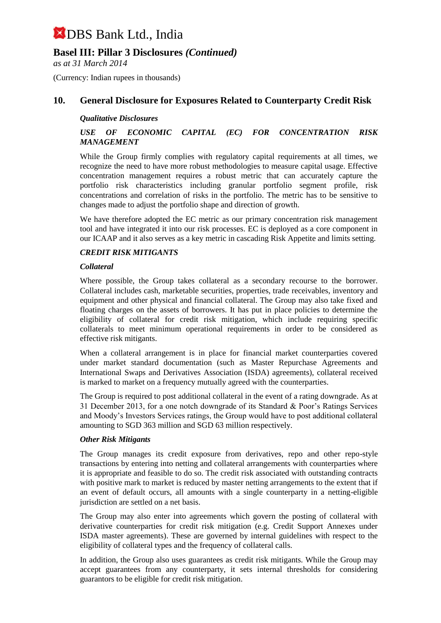## **Basel III: Pillar 3 Disclosures** *(Continued)*

*as at 31 March 2014*

(Currency: Indian rupees in thousands)

## **10. General Disclosure for Exposures Related to Counterparty Credit Risk**

#### *Qualitative Disclosures*

#### *USE OF ECONOMIC CAPITAL (EC) FOR CONCENTRATION RISK MANAGEMENT*

While the Group firmly complies with regulatory capital requirements at all times, we recognize the need to have more robust methodologies to measure capital usage. Effective concentration management requires a robust metric that can accurately capture the portfolio risk characteristics including granular portfolio segment profile, risk concentrations and correlation of risks in the portfolio. The metric has to be sensitive to changes made to adjust the portfolio shape and direction of growth.

We have therefore adopted the EC metric as our primary concentration risk management tool and have integrated it into our risk processes. EC is deployed as a core component in our ICAAP and it also serves as a key metric in cascading Risk Appetite and limits setting.

#### *CREDIT RISK MITIGANTS*

#### *Collateral*

Where possible, the Group takes collateral as a secondary recourse to the borrower. Collateral includes cash, marketable securities, properties, trade receivables, inventory and equipment and other physical and financial collateral. The Group may also take fixed and floating charges on the assets of borrowers. It has put in place policies to determine the eligibility of collateral for credit risk mitigation, which include requiring specific collaterals to meet minimum operational requirements in order to be considered as effective risk mitigants.

When a collateral arrangement is in place for financial market counterparties covered under market standard documentation (such as Master Repurchase Agreements and International Swaps and Derivatives Association (ISDA) agreements), collateral received is marked to market on a frequency mutually agreed with the counterparties.

The Group is required to post additional collateral in the event of a rating downgrade. As at 31 December 2013, for a one notch downgrade of its Standard & Poor's Ratings Services and Moody's Investors Services ratings, the Group would have to post additional collateral amounting to SGD 363 million and SGD 63 million respectively.

#### *Other Risk Mitigants*

The Group manages its credit exposure from derivatives, repo and other repo-style transactions by entering into netting and collateral arrangements with counterparties where it is appropriate and feasible to do so. The credit risk associated with outstanding contracts with positive mark to market is reduced by master netting arrangements to the extent that if an event of default occurs, all amounts with a single counterparty in a netting-eligible jurisdiction are settled on a net basis.

The Group may also enter into agreements which govern the posting of collateral with derivative counterparties for credit risk mitigation (e.g. Credit Support Annexes under ISDA master agreements). These are governed by internal guidelines with respect to the eligibility of collateral types and the frequency of collateral calls.

In addition, the Group also uses guarantees as credit risk mitigants. While the Group may accept guarantees from any counterparty, it sets internal thresholds for considering guarantors to be eligible for credit risk mitigation.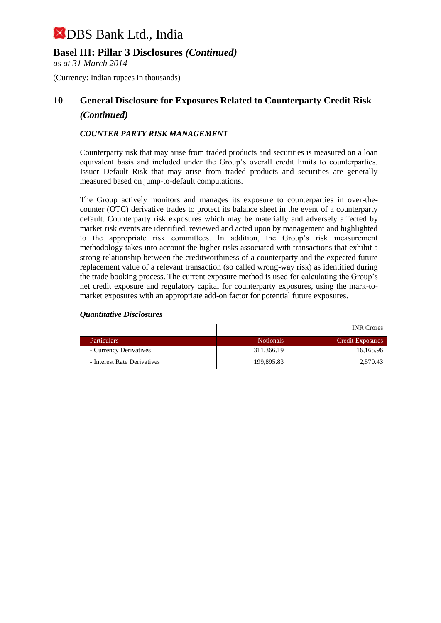## **Basel III: Pillar 3 Disclosures** *(Continued)*

*as at 31 March 2014*

(Currency: Indian rupees in thousands)

## **10 General Disclosure for Exposures Related to Counterparty Credit Risk** *(Continued)*

#### *COUNTER PARTY RISK MANAGEMENT*

Counterparty risk that may arise from traded products and securities is measured on a loan equivalent basis and included under the Group's overall credit limits to counterparties. Issuer Default Risk that may arise from traded products and securities are generally measured based on jump-to-default computations.

The Group actively monitors and manages its exposure to counterparties in over-thecounter (OTC) derivative trades to protect its balance sheet in the event of a counterparty default. Counterparty risk exposures which may be materially and adversely affected by market risk events are identified, reviewed and acted upon by management and highlighted to the appropriate risk committees. In addition, the Group's risk measurement methodology takes into account the higher risks associated with transactions that exhibit a strong relationship between the creditworthiness of a counterparty and the expected future replacement value of a relevant transaction (so called wrong-way risk) as identified during the trade booking process. The current exposure method is used for calculating the Group's net credit exposure and regulatory capital for counterparty exposures, using the mark-tomarket exposures with an appropriate add-on factor for potential future exposures.

|                             |                  | <b>INR</b> Crores       |
|-----------------------------|------------------|-------------------------|
| <b>Particulars</b>          | <b>Notionals</b> | <b>Credit Exposures</b> |
| - Currency Derivatives      | 311,366.19       | 16,165.96               |
| - Interest Rate Derivatives | 199,895.83       | 2,570.43                |

#### *Quantitative Disclosures*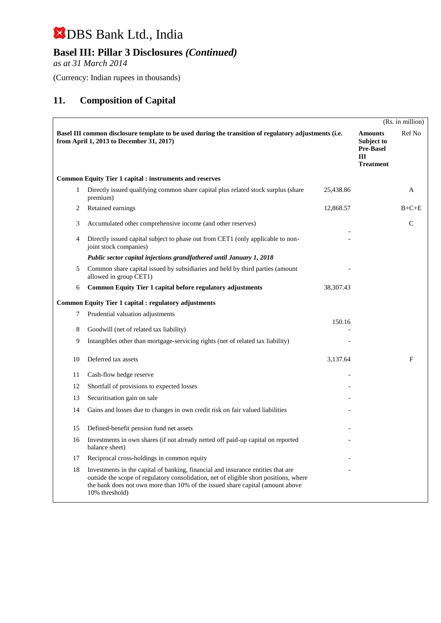## **Basel III: Pillar 3 Disclosures** *(Continued)*

*as at 31 March 2014*

(Currency: Indian rupees in thousands)

## **11. Composition of Capital**

|              |                                                                                                                                                                                                                                                                              |             |                                                                                    | (Rs. in million) |
|--------------|------------------------------------------------------------------------------------------------------------------------------------------------------------------------------------------------------------------------------------------------------------------------------|-------------|------------------------------------------------------------------------------------|------------------|
|              | Basel III common disclosure template to be used during the transition of regulatory adjustments (i.e.<br>from April 1, 2013 to December 31, 2017)                                                                                                                            |             | <b>Amounts</b><br><b>Subject to</b><br><b>Pre-Basel</b><br>III<br><b>Treatment</b> | Ref No           |
|              | <b>Common Equity Tier 1 capital : instruments and reserves</b>                                                                                                                                                                                                               |             |                                                                                    |                  |
| $\mathbf{1}$ | Directly issued qualifying common share capital plus related stock surplus (share<br>premium)                                                                                                                                                                                | 25,438.86   |                                                                                    | A                |
| 2            | Retained earnings                                                                                                                                                                                                                                                            | 12,868.57   |                                                                                    | $B+C+E$          |
| 3            | Accumulated other comprehensive income (and other reserves)                                                                                                                                                                                                                  |             |                                                                                    | $\mathsf{C}$     |
| 4            | Directly issued capital subject to phase out from CET1 (only applicable to non-<br>joint stock companies)                                                                                                                                                                    |             |                                                                                    |                  |
|              | Public sector capital injections grandfathered until January 1, 2018                                                                                                                                                                                                         |             |                                                                                    |                  |
| 5            | Common share capital issued by subsidiaries and held by third parties (amount<br>allowed in group CET1)                                                                                                                                                                      |             |                                                                                    |                  |
| 6            | Common Equity Tier 1 capital before regulatory adjustments                                                                                                                                                                                                                   | 38, 307. 43 |                                                                                    |                  |
|              | <b>Common Equity Tier 1 capital : regulatory adjustments</b>                                                                                                                                                                                                                 |             |                                                                                    |                  |
| 7            | Prudential valuation adjustments                                                                                                                                                                                                                                             |             |                                                                                    |                  |
| 8            | Goodwill (net of related tax liability)                                                                                                                                                                                                                                      | 150.16      |                                                                                    |                  |
| 9            | Intangibles other than mortgage-servicing rights (net of related tax liability)                                                                                                                                                                                              |             |                                                                                    |                  |
| 10           | Deferred tax assets                                                                                                                                                                                                                                                          | 3,137.64    |                                                                                    | F                |
| 11           | Cash-flow hedge reserve                                                                                                                                                                                                                                                      |             |                                                                                    |                  |
| 12           | Shortfall of provisions to expected losses                                                                                                                                                                                                                                   |             |                                                                                    |                  |
| 13           | Securitisation gain on sale                                                                                                                                                                                                                                                  |             |                                                                                    |                  |
| 14           | Gains and losses due to changes in own credit risk on fair valued liabilities                                                                                                                                                                                                |             |                                                                                    |                  |
| 15           | Defined-benefit pension fund net assets                                                                                                                                                                                                                                      |             |                                                                                    |                  |
| 16           | Investments in own shares (if not already netted off paid-up capital on reported<br>balance sheet)                                                                                                                                                                           |             |                                                                                    |                  |
| 17           | Reciprocal cross-holdings in common equity                                                                                                                                                                                                                                   |             |                                                                                    |                  |
| 18           | Investments in the capital of banking, financial and insurance entities that are<br>outside the scope of regulatory consolidation, net of eligible short positions, where<br>the bank does not own more than 10% of the issued share capital (amount above<br>10% threshold) |             |                                                                                    |                  |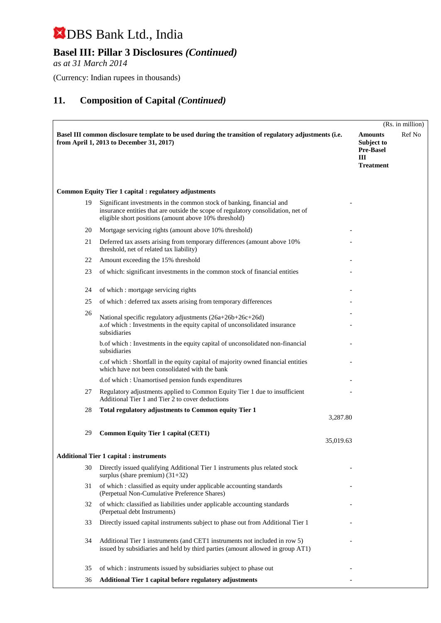## **Basel III: Pillar 3 Disclosures** *(Continued)*

*as at 31 March 2014*

(Currency: Indian rupees in thousands)

|    |                                                                                                                                                                                                                     |           |                                                                           | (Rs. in million) |
|----|---------------------------------------------------------------------------------------------------------------------------------------------------------------------------------------------------------------------|-----------|---------------------------------------------------------------------------|------------------|
|    | Basel III common disclosure template to be used during the transition of regulatory adjustments (i.e.<br>from April 1, 2013 to December 31, 2017)                                                                   |           | <b>Amounts</b><br>Subject to<br><b>Pre-Basel</b><br>Ш<br><b>Treatment</b> | Ref No           |
|    | <b>Common Equity Tier 1 capital : regulatory adjustments</b>                                                                                                                                                        |           |                                                                           |                  |
| 19 | Significant investments in the common stock of banking, financial and<br>insurance entities that are outside the scope of regulatory consolidation, net of<br>eligible short positions (amount above 10% threshold) |           |                                                                           |                  |
| 20 | Mortgage servicing rights (amount above 10% threshold)                                                                                                                                                              |           |                                                                           |                  |
| 21 | Deferred tax assets arising from temporary differences (amount above 10%)<br>threshold, net of related tax liability)                                                                                               |           |                                                                           |                  |
| 22 | Amount exceeding the 15% threshold                                                                                                                                                                                  |           |                                                                           |                  |
| 23 | of which: significant investments in the common stock of financial entities                                                                                                                                         |           |                                                                           |                  |
| 24 | of which : mortgage servicing rights                                                                                                                                                                                |           |                                                                           |                  |
| 25 | of which: deferred tax assets arising from temporary differences                                                                                                                                                    |           |                                                                           |                  |
| 26 | National specific regulatory adjustments (26a+26b+26c+26d)<br>a.of which : Investments in the equity capital of unconsolidated insurance<br>subsidiaries                                                            |           |                                                                           |                  |
|    | b.of which : Investments in the equity capital of unconsolidated non-financial<br>subsidiaries                                                                                                                      |           |                                                                           |                  |
|    | c.of which : Shortfall in the equity capital of majority owned financial entities<br>which have not been consolidated with the bank                                                                                 |           |                                                                           |                  |
|    | d.of which: Unamortised pension funds expenditures                                                                                                                                                                  |           |                                                                           |                  |
| 27 | Regulatory adjustments applied to Common Equity Tier 1 due to insufficient<br>Additional Tier 1 and Tier 2 to cover deductions                                                                                      |           |                                                                           |                  |
| 28 | Total regulatory adjustments to Common equity Tier 1                                                                                                                                                                | 3,287.80  |                                                                           |                  |
| 29 | <b>Common Equity Tier 1 capital (CET1)</b>                                                                                                                                                                          | 35,019.63 |                                                                           |                  |
|    | <b>Additional Tier 1 capital : instruments</b>                                                                                                                                                                      |           |                                                                           |                  |
| 30 | Directly issued qualifying Additional Tier 1 instruments plus related stock<br>surplus (share premium) $(31+32)$                                                                                                    |           |                                                                           |                  |
| 31 | of which : classified as equity under applicable accounting standards<br>(Perpetual Non-Cumulative Preference Shares)                                                                                               |           |                                                                           |                  |
| 32 | of which: classified as liabilities under applicable accounting standards<br>(Perpetual debt Instruments)                                                                                                           |           |                                                                           |                  |
| 33 | Directly issued capital instruments subject to phase out from Additional Tier 1                                                                                                                                     |           |                                                                           |                  |
| 34 | Additional Tier 1 instruments (and CET1 instruments not included in row 5)<br>issued by subsidiaries and held by third parties (amount allowed in group AT1)                                                        |           |                                                                           |                  |
| 35 | of which : instruments issued by subsidiaries subject to phase out                                                                                                                                                  |           |                                                                           |                  |
| 36 | Additional Tier 1 capital before regulatory adjustments                                                                                                                                                             |           |                                                                           |                  |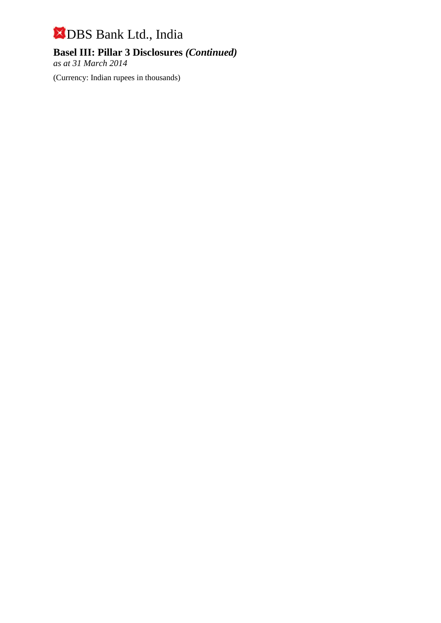## **Basel III: Pillar 3 Disclosures** *(Continued)*

*as at 31 March 2014*

(Currency: Indian rupees in thousands)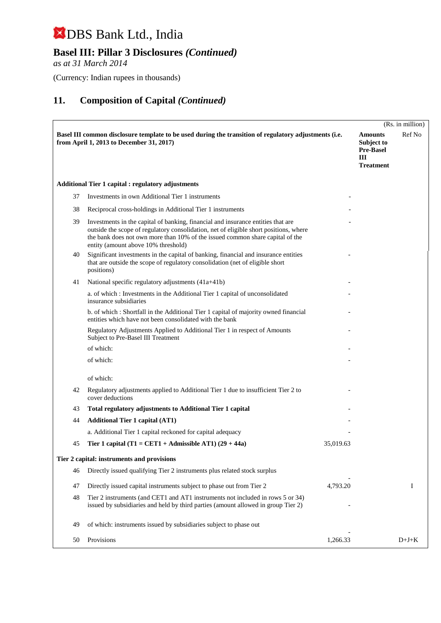## **Basel III: Pillar 3 Disclosures** *(Continued)*

*as at 31 March 2014*

(Currency: Indian rupees in thousands)

|    |                                                                                                                                                                                                                                                                                                   |           |                                                                           | (Rs. in million) |
|----|---------------------------------------------------------------------------------------------------------------------------------------------------------------------------------------------------------------------------------------------------------------------------------------------------|-----------|---------------------------------------------------------------------------|------------------|
|    | Basel III common disclosure template to be used during the transition of regulatory adjustments (i.e.<br>from April 1, 2013 to December 31, 2017)                                                                                                                                                 |           | <b>Amounts</b><br>Subject to<br><b>Pre-Basel</b><br>Ш<br><b>Treatment</b> | Ref No           |
|    | <b>Additional Tier 1 capital : regulatory adjustments</b>                                                                                                                                                                                                                                         |           |                                                                           |                  |
| 37 | Investments in own Additional Tier 1 instruments                                                                                                                                                                                                                                                  |           |                                                                           |                  |
| 38 | Reciprocal cross-holdings in Additional Tier 1 instruments                                                                                                                                                                                                                                        |           |                                                                           |                  |
| 39 | Investments in the capital of banking, financial and insurance entities that are<br>outside the scope of regulatory consolidation, net of eligible short positions, where<br>the bank does not own more than 10% of the issued common share capital of the<br>entity (amount above 10% threshold) |           |                                                                           |                  |
| 40 | Significant investments in the capital of banking, financial and insurance entities<br>that are outside the scope of regulatory consolidation (net of eligible short<br>positions)                                                                                                                |           |                                                                           |                  |
| 41 | National specific regulatory adjustments (41a+41b)                                                                                                                                                                                                                                                |           |                                                                           |                  |
|    | a. of which: Investments in the Additional Tier 1 capital of unconsolidated<br>insurance subsidiaries                                                                                                                                                                                             |           |                                                                           |                  |
|    | b. of which: Shortfall in the Additional Tier 1 capital of majority owned financial<br>entities which have not been consolidated with the bank                                                                                                                                                    |           |                                                                           |                  |
|    | Regulatory Adjustments Applied to Additional Tier 1 in respect of Amounts<br>Subject to Pre-Basel III Treatment                                                                                                                                                                                   |           |                                                                           |                  |
|    | of which:                                                                                                                                                                                                                                                                                         |           |                                                                           |                  |
|    | of which:                                                                                                                                                                                                                                                                                         |           |                                                                           |                  |
|    | of which:                                                                                                                                                                                                                                                                                         |           |                                                                           |                  |
| 42 | Regulatory adjustments applied to Additional Tier 1 due to insufficient Tier 2 to<br>cover deductions                                                                                                                                                                                             |           |                                                                           |                  |
| 43 | Total regulatory adjustments to Additional Tier 1 capital                                                                                                                                                                                                                                         |           |                                                                           |                  |
| 44 | <b>Additional Tier 1 capital (AT1)</b>                                                                                                                                                                                                                                                            |           |                                                                           |                  |
|    | a. Additional Tier 1 capital reckoned for capital adequacy                                                                                                                                                                                                                                        |           |                                                                           |                  |
| 45 | Tier 1 capital (T1 = CET1 + Admissible AT1) $(29 + 44a)$                                                                                                                                                                                                                                          | 35,019.63 |                                                                           |                  |
|    | Tier 2 capital: instruments and provisions                                                                                                                                                                                                                                                        |           |                                                                           |                  |
| 46 | Directly issued qualifying Tier 2 instruments plus related stock surplus                                                                                                                                                                                                                          |           |                                                                           |                  |
| 47 | Directly issued capital instruments subject to phase out from Tier 2                                                                                                                                                                                                                              | 4,793.20  |                                                                           | I                |
| 48 | Tier 2 instruments (and CET1 and AT1 instruments not included in rows 5 or 34)<br>issued by subsidiaries and held by third parties (amount allowed in group Tier 2)                                                                                                                               |           |                                                                           |                  |
| 49 | of which: instruments issued by subsidiaries subject to phase out                                                                                                                                                                                                                                 |           |                                                                           |                  |
| 50 | Provisions                                                                                                                                                                                                                                                                                        | 1,266.33  |                                                                           | $D+J+K$          |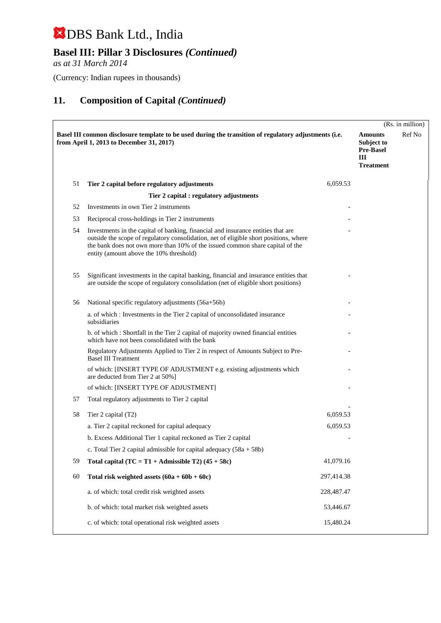## **Basel III: Pillar 3 Disclosures** *(Continued)*

*as at 31 March 2014*

(Currency: Indian rupees in thousands)

|    |                                                                                                                                                                                                                                                                                                       |            |                                                                           | (Rs. in million) |
|----|-------------------------------------------------------------------------------------------------------------------------------------------------------------------------------------------------------------------------------------------------------------------------------------------------------|------------|---------------------------------------------------------------------------|------------------|
|    | Basel III common disclosure template to be used during the transition of regulatory adjustments (i.e.<br>from April 1, 2013 to December 31, 2017)                                                                                                                                                     |            | <b>Amounts</b><br>Subject to<br><b>Pre-Basel</b><br>Ш<br><b>Treatment</b> | Ref No           |
| 51 | Tier 2 capital before regulatory adjustments                                                                                                                                                                                                                                                          | 6,059.53   |                                                                           |                  |
|    | Tier 2 capital : regulatory adjustments                                                                                                                                                                                                                                                               |            |                                                                           |                  |
| 52 | Investments in own Tier 2 instruments                                                                                                                                                                                                                                                                 |            |                                                                           |                  |
| 53 | Reciprocal cross-holdings in Tier 2 instruments                                                                                                                                                                                                                                                       |            |                                                                           |                  |
| 54 | Investments in the capital of banking, financial and insurance entities that are<br>outside the scope of regulatory consolidation, net of eligible short positions, where<br>the bank does not own more than 10% of the issued common share capital of the<br>entity (amount above the 10% threshold) |            |                                                                           |                  |
| 55 | Significant investments in the capital banking, financial and insurance entities that<br>are outside the scope of regulatory consolidation (net of eligible short positions)                                                                                                                          |            |                                                                           |                  |
| 56 | National specific regulatory adjustments (56a+56b)                                                                                                                                                                                                                                                    |            |                                                                           |                  |
|    | a. of which : Investments in the Tier 2 capital of unconsolidated insurance<br>subsidiaries                                                                                                                                                                                                           |            |                                                                           |                  |
|    | b. of which : Shortfall in the Tier 2 capital of majority owned financial entities<br>which have not been consolidated with the bank                                                                                                                                                                  |            |                                                                           |                  |
|    | Regulatory Adjustments Applied to Tier 2 in respect of Amounts Subject to Pre-<br><b>Basel III Treatment</b>                                                                                                                                                                                          |            |                                                                           |                  |
|    | of which: [INSERT TYPE OF ADJUSTMENT e.g. existing adjustments which<br>are deducted from Tier 2 at 50%]                                                                                                                                                                                              |            |                                                                           |                  |
|    | of which: [INSERT TYPE OF ADJUSTMENT]                                                                                                                                                                                                                                                                 |            |                                                                           |                  |
| 57 | Total regulatory adjustments to Tier 2 capital                                                                                                                                                                                                                                                        |            |                                                                           |                  |
| 58 | Tier 2 capital (T2)                                                                                                                                                                                                                                                                                   | 6,059.53   |                                                                           |                  |
|    | a. Tier 2 capital reckoned for capital adequacy                                                                                                                                                                                                                                                       | 6,059.53   |                                                                           |                  |
|    | b. Excess Additional Tier 1 capital reckoned as Tier 2 capital                                                                                                                                                                                                                                        |            |                                                                           |                  |
|    | c. Total Tier 2 capital admissible for capital adequacy $(58a + 58b)$                                                                                                                                                                                                                                 |            |                                                                           |                  |
| 59 | Total capital $(TC = T1 + \text{Admissible } T2)$ (45 + 58c)                                                                                                                                                                                                                                          | 41,079.16  |                                                                           |                  |
| 60 | Total risk weighted assets $(60a + 60b + 60c)$                                                                                                                                                                                                                                                        | 297,414.38 |                                                                           |                  |
|    | a. of which: total credit risk weighted assets                                                                                                                                                                                                                                                        | 228,487.47 |                                                                           |                  |
|    | b. of which: total market risk weighted assets                                                                                                                                                                                                                                                        | 53,446.67  |                                                                           |                  |
|    | c. of which: total operational risk weighted assets                                                                                                                                                                                                                                                   | 15,480.24  |                                                                           |                  |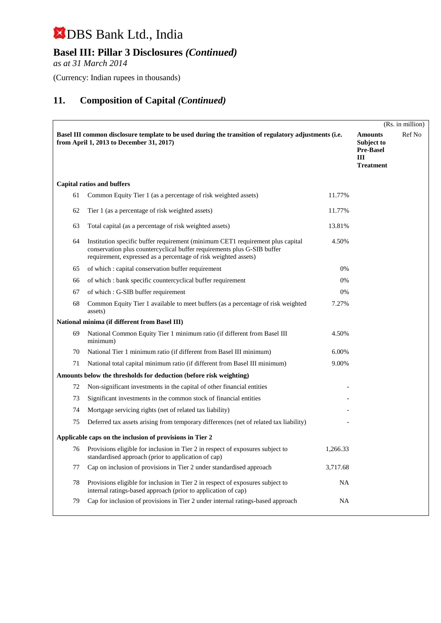## **Basel III: Pillar 3 Disclosures** *(Continued)*

*as at 31 March 2014*

(Currency: Indian rupees in thousands)

|    |                                                                                                                                                                                                                              |           |                                                                                  | (Rs. in million) |
|----|------------------------------------------------------------------------------------------------------------------------------------------------------------------------------------------------------------------------------|-----------|----------------------------------------------------------------------------------|------------------|
|    | Basel III common disclosure template to be used during the transition of regulatory adjustments (i.e.<br>from April 1, 2013 to December 31, 2017)                                                                            |           | <b>Amounts</b><br><b>Subject to</b><br><b>Pre-Basel</b><br>Ш<br><b>Treatment</b> | Ref No           |
|    | <b>Capital ratios and buffers</b>                                                                                                                                                                                            |           |                                                                                  |                  |
| 61 | Common Equity Tier 1 (as a percentage of risk weighted assets)                                                                                                                                                               | 11.77%    |                                                                                  |                  |
| 62 | Tier 1 (as a percentage of risk weighted assets)                                                                                                                                                                             | 11.77%    |                                                                                  |                  |
| 63 | Total capital (as a percentage of risk weighted assets)                                                                                                                                                                      | 13.81%    |                                                                                  |                  |
| 64 | Institution specific buffer requirement (minimum CET1 requirement plus capital<br>conservation plus countercyclical buffer requirements plus G-SIB buffer<br>requirement, expressed as a percentage of risk weighted assets) | 4.50%     |                                                                                  |                  |
| 65 | of which : capital conservation buffer requirement                                                                                                                                                                           | 0%        |                                                                                  |                  |
| 66 | of which : bank specific countercyclical buffer requirement                                                                                                                                                                  | 0%        |                                                                                  |                  |
| 67 | of which : G-SIB buffer requirement                                                                                                                                                                                          | 0%        |                                                                                  |                  |
| 68 | Common Equity Tier 1 available to meet buffers (as a percentage of risk weighted<br>assets)                                                                                                                                  | 7.27%     |                                                                                  |                  |
|    | National minima (if different from Basel III)                                                                                                                                                                                |           |                                                                                  |                  |
| 69 | National Common Equity Tier 1 minimum ratio (if different from Basel III<br>minimum)                                                                                                                                         | 4.50%     |                                                                                  |                  |
| 70 | National Tier 1 minimum ratio (if different from Basel III minimum)                                                                                                                                                          | 6.00%     |                                                                                  |                  |
| 71 | National total capital minimum ratio (if different from Basel III minimum)                                                                                                                                                   | 9.00%     |                                                                                  |                  |
|    | Amounts below the thresholds for deduction (before risk weighting)                                                                                                                                                           |           |                                                                                  |                  |
| 72 | Non-significant investments in the capital of other financial entities                                                                                                                                                       |           |                                                                                  |                  |
| 73 | Significant investments in the common stock of financial entities                                                                                                                                                            |           |                                                                                  |                  |
| 74 | Mortgage servicing rights (net of related tax liability)                                                                                                                                                                     |           |                                                                                  |                  |
| 75 | Deferred tax assets arising from temporary differences (net of related tax liability)                                                                                                                                        |           |                                                                                  |                  |
|    | Applicable caps on the inclusion of provisions in Tier 2                                                                                                                                                                     |           |                                                                                  |                  |
| 76 | Provisions eligible for inclusion in Tier 2 in respect of exposures subject to<br>standardised approach (prior to application of cap)                                                                                        | 1.266.33  |                                                                                  |                  |
| 77 | Cap on inclusion of provisions in Tier 2 under standardised approach                                                                                                                                                         | 3,717.68  |                                                                                  |                  |
| 78 | Provisions eligible for inclusion in Tier 2 in respect of exposures subject to<br>internal ratings-based approach (prior to application of cap)                                                                              | <b>NA</b> |                                                                                  |                  |
| 79 | Cap for inclusion of provisions in Tier 2 under internal ratings-based approach                                                                                                                                              | <b>NA</b> |                                                                                  |                  |
|    |                                                                                                                                                                                                                              |           |                                                                                  |                  |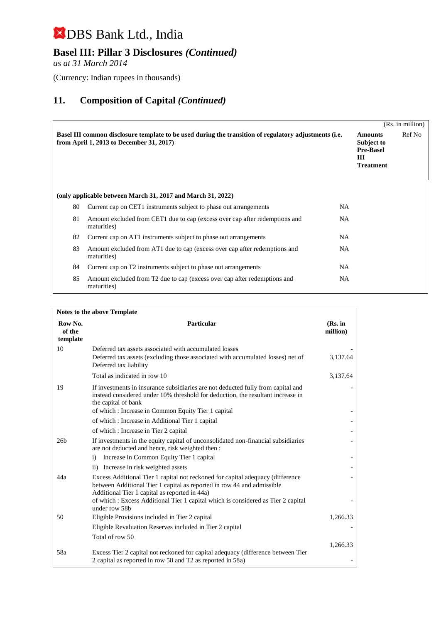## **Basel III: Pillar 3 Disclosures** *(Continued)*

*as at 31 March 2014*

(Currency: Indian rupees in thousands)

|    |                                                                                                                                                   |           |                                                                           | (Rs. in million) |
|----|---------------------------------------------------------------------------------------------------------------------------------------------------|-----------|---------------------------------------------------------------------------|------------------|
|    | Basel III common disclosure template to be used during the transition of regulatory adjustments (i.e.<br>from April 1, 2013 to December 31, 2017) |           | <b>Amounts</b><br>Subject to<br><b>Pre-Basel</b><br>Ш<br><b>Treatment</b> | Ref No           |
|    | (only applicable between March 31, 2017 and March 31, 2022)                                                                                       |           |                                                                           |                  |
| 80 | Current cap on CET1 instruments subject to phase out arrangements                                                                                 | <b>NA</b> |                                                                           |                  |
| 81 | Amount excluded from CET1 due to cap (excess over cap after redemptions and<br>maturities)                                                        | <b>NA</b> |                                                                           |                  |
| 82 | Current cap on AT1 instruments subject to phase out arrangements                                                                                  | <b>NA</b> |                                                                           |                  |
| 83 | Amount excluded from AT1 due to cap (excess over cap after redemptions and<br>maturities)                                                         | <b>NA</b> |                                                                           |                  |
| 84 | Current cap on T2 instruments subject to phase out arrangements                                                                                   | <b>NA</b> |                                                                           |                  |
| 85 | Amount excluded from T2 due to cap (excess over cap after redemptions and<br>maturities)                                                          | <b>NA</b> |                                                                           |                  |

| Notes to the above Template   |                                                                                                                                                                                                                                                  |                     |  |  |  |  |
|-------------------------------|--------------------------------------------------------------------------------------------------------------------------------------------------------------------------------------------------------------------------------------------------|---------------------|--|--|--|--|
| Row No.<br>of the<br>template | Particular                                                                                                                                                                                                                                       | (Rs. in<br>million) |  |  |  |  |
| 10                            | Deferred tax assets associated with accumulated losses<br>Deferred tax assets (excluding those associated with accumulated losses) net of<br>Deferred tax liability                                                                              | 3,137.64            |  |  |  |  |
|                               | Total as indicated in row 10                                                                                                                                                                                                                     | 3,137.64            |  |  |  |  |
| 19                            | If investments in insurance subsidiaries are not deducted fully from capital and<br>instead considered under 10% threshold for deduction, the resultant increase in<br>the capital of bank<br>of which: Increase in Common Equity Tier 1 capital |                     |  |  |  |  |
|                               | of which: Increase in Additional Tier 1 capital                                                                                                                                                                                                  |                     |  |  |  |  |
|                               | of which: Increase in Tier 2 capital                                                                                                                                                                                                             |                     |  |  |  |  |
| 26 <sub>b</sub>               | If investments in the equity capital of unconsolidated non-financial subsidiaries<br>are not deducted and hence, risk weighted then :                                                                                                            |                     |  |  |  |  |
|                               | Increase in Common Equity Tier 1 capital<br>$\ddot{1}$                                                                                                                                                                                           |                     |  |  |  |  |
|                               | ii) Increase in risk weighted assets                                                                                                                                                                                                             |                     |  |  |  |  |
| 44a                           | Excess Additional Tier 1 capital not reckoned for capital adequacy (difference<br>between Additional Tier 1 capital as reported in row 44 and admissible<br>Additional Tier 1 capital as reported in 44a)                                        |                     |  |  |  |  |
|                               | of which : Excess Additional Tier 1 capital which is considered as Tier 2 capital<br>under row 58b                                                                                                                                               |                     |  |  |  |  |
| 50                            | Eligible Provisions included in Tier 2 capital                                                                                                                                                                                                   | 1,266.33            |  |  |  |  |
|                               | Eligible Revaluation Reserves included in Tier 2 capital                                                                                                                                                                                         |                     |  |  |  |  |
|                               | Total of row 50                                                                                                                                                                                                                                  |                     |  |  |  |  |
| 58a                           | Excess Tier 2 capital not reckoned for capital adequacy (difference between Tier<br>2 capital as reported in row 58 and T2 as reported in 58a)                                                                                                   | 1,266.33            |  |  |  |  |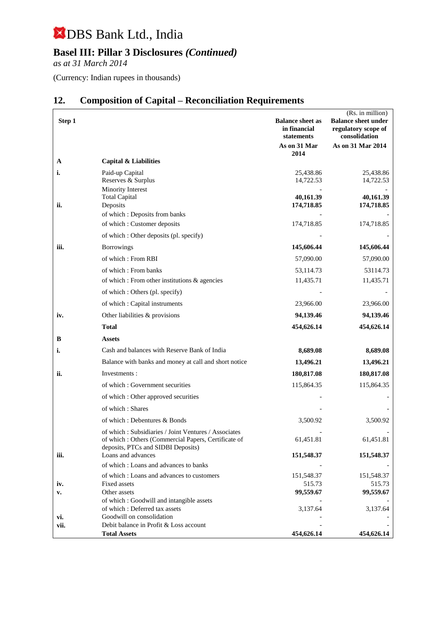## **Basel III: Pillar 3 Disclosures** *(Continued)*

*as at 31 March 2014*

(Currency: Indian rupees in thousands)

| Step 1      |                                                                                            | <b>Balance sheet as</b><br>in financial<br>statements | (Rs. in million)<br><b>Balance sheet under</b><br>regulatory scope of<br>consolidation |
|-------------|--------------------------------------------------------------------------------------------|-------------------------------------------------------|----------------------------------------------------------------------------------------|
|             |                                                                                            | As on 31 Mar<br>2014                                  | As on 31 Mar 2014                                                                      |
| A           | <b>Capital &amp; Liabilities</b>                                                           |                                                       |                                                                                        |
| i.          | Paid-up Capital<br>Reserves & Surplus                                                      | 25,438.86<br>14,722.53                                | 25,438.86<br>14,722.53                                                                 |
| ii.         | Minority Interest<br><b>Total Capital</b><br>Deposits                                      | 40,161.39<br>174,718.85                               | 40,161.39<br>174,718.85                                                                |
|             | of which: Deposits from banks<br>of which: Customer deposits                               | 174,718.85                                            | 174,718.85                                                                             |
|             | of which : Other deposits (pl. specify)                                                    |                                                       |                                                                                        |
| iii.        | <b>Borrowings</b>                                                                          | 145,606.44                                            | 145,606.44                                                                             |
|             | of which: From RBI                                                                         | 57,090.00                                             | 57,090.00                                                                              |
|             | of which: From banks                                                                       | 53,114.73                                             | 53114.73                                                                               |
|             | of which : From other institutions & agencies                                              | 11,435.71                                             | 11,435.71                                                                              |
|             | of which : Others (pl. specify)                                                            |                                                       |                                                                                        |
|             | of which: Capital instruments                                                              | 23,966.00                                             | 23,966.00                                                                              |
| iv.         | Other liabilities & provisions                                                             | 94,139.46                                             | 94,139.46                                                                              |
|             | Total                                                                                      | 454,626.14                                            | 454,626.14                                                                             |
| В           | Assets                                                                                     |                                                       |                                                                                        |
| i.          | Cash and balances with Reserve Bank of India                                               | 8,689.08                                              | 8,689.08                                                                               |
|             | Balance with banks and money at call and short notice                                      | 13,496.21                                             | 13,496.21                                                                              |
| ii.         | Investments:                                                                               | 180,817.08                                            | 180,817.08                                                                             |
|             | of which: Government securities                                                            | 115,864.35                                            | 115,864.35                                                                             |
|             | of which : Other approved securities                                                       |                                                       |                                                                                        |
|             | of which: Shares                                                                           |                                                       |                                                                                        |
|             | of which: Debentures & Bonds                                                               | 3,500.92                                              | 3,500.92                                                                               |
|             | of which: Subsidiaries / Joint Ventures / Associates                                       |                                                       |                                                                                        |
|             | of which : Others (Commercial Papers, Certificate of<br>deposits, PTCs and SIDBI Deposits) | 61,451.81                                             | 61,451.81                                                                              |
| iii.        | Loans and advances                                                                         | 151,548.37                                            | 151,548.37                                                                             |
|             | of which: Loans and advances to banks                                                      |                                                       |                                                                                        |
|             | of which: Loans and advances to customers<br>Fixed assets                                  | 151,548.37<br>515.73                                  | 151,548.37<br>515.73                                                                   |
| iv.<br>v.   | Other assets                                                                               | 99,559.67                                             | 99,559.67                                                                              |
|             | of which: Goodwill and intangible assets                                                   |                                                       |                                                                                        |
|             | of which: Deferred tax assets                                                              | 3,137.64                                              | 3,137.64                                                                               |
| vi.<br>vii. | Goodwill on consolidation<br>Debit balance in Profit & Loss account                        |                                                       |                                                                                        |
|             | <b>Total Assets</b>                                                                        | 454,626.14                                            | 454,626.14                                                                             |

## **12. Composition of Capital – Reconciliation Requirements**